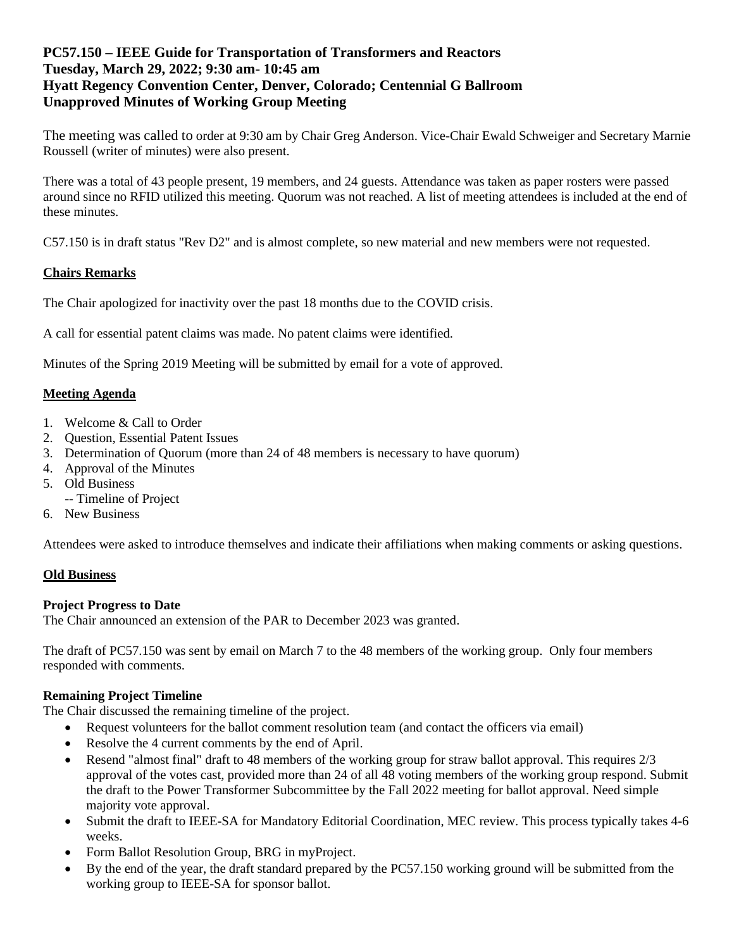# **PC57.150 – IEEE Guide for Transportation of Transformers and Reactors Tuesday, March 29, 2022; 9:30 am- 10:45 am Hyatt Regency Convention Center, Denver, Colorado; Centennial G Ballroom Unapproved Minutes of Working Group Meeting**

The meeting was called to order at 9:30 am by Chair Greg Anderson. Vice-Chair Ewald Schweiger and Secretary Marnie Roussell (writer of minutes) were also present.

There was a total of 43 people present, 19 members, and 24 guests. Attendance was taken as paper rosters were passed around since no RFID utilized this meeting. Quorum was not reached. A list of meeting attendees is included at the end of these minutes.

C57.150 is in draft status "Rev D2" and is almost complete, so new material and new members were not requested.

## **Chairs Remarks**

The Chair apologized for inactivity over the past 18 months due to the COVID crisis.

A call for essential patent claims was made. No patent claims were identified.

Minutes of the Spring 2019 Meeting will be submitted by email for a vote of approved.

#### **Meeting Agenda**

- 1. Welcome & Call to Order
- 2. Question, Essential Patent Issues
- 3. Determination of Quorum (more than 24 of 48 members is necessary to have quorum)
- 4. Approval of the Minutes
- 5. Old Business
	- -- Timeline of Project
- 6. New Business

Attendees were asked to introduce themselves and indicate their affiliations when making comments or asking questions.

#### **Old Business**

#### **Project Progress to Date**

The Chair announced an extension of the PAR to December 2023 was granted.

The draft of PC57.150 was sent by email on March 7 to the 48 members of the working group. Only four members responded with comments.

## **Remaining Project Timeline**

The Chair discussed the remaining timeline of the project.

- Request volunteers for the ballot comment resolution team (and contact the officers via email)
- Resolve the 4 current comments by the end of April.
- Resend "almost final" draft to 48 members of the working group for straw ballot approval. This requires 2/3 approval of the votes cast, provided more than 24 of all 48 voting members of the working group respond. Submit the draft to the Power Transformer Subcommittee by the Fall 2022 meeting for ballot approval. Need simple majority vote approval.
- Submit the draft to IEEE-SA for Mandatory Editorial Coordination, MEC review. This process typically takes 4-6 weeks.
- Form Ballot Resolution Group, BRG in myProject.
- By the end of the year, the draft standard prepared by the PC57.150 working ground will be submitted from the working group to IEEE-SA for sponsor ballot.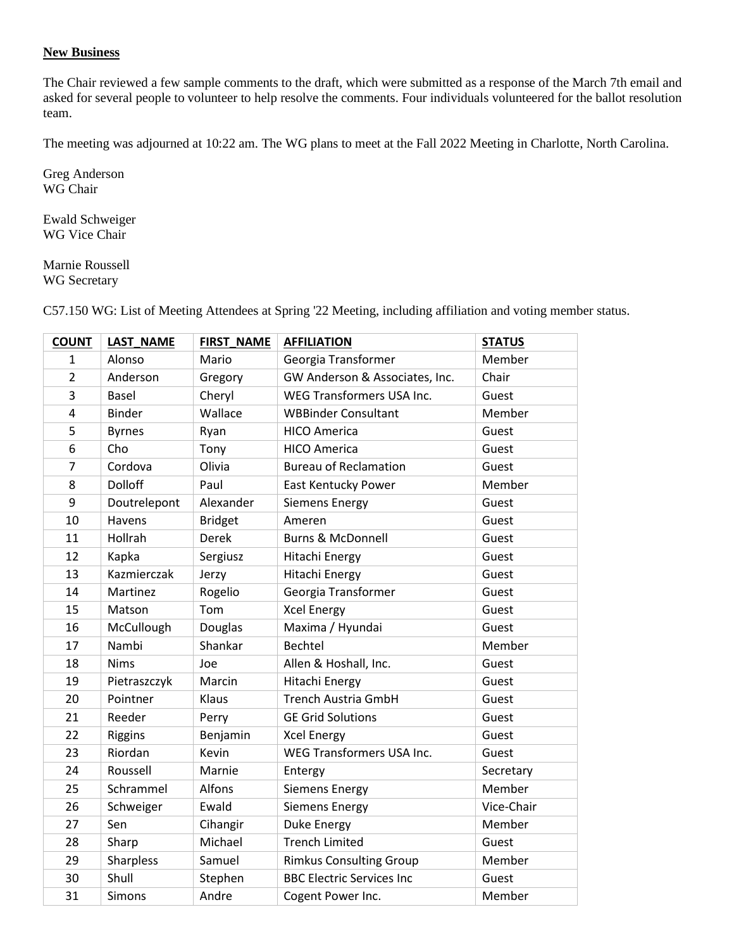### **New Business**

The Chair reviewed a few sample comments to the draft, which were submitted as a response of the March 7th email and asked for several people to volunteer to help resolve the comments. Four individuals volunteered for the ballot resolution team.

The meeting was adjourned at 10:22 am. The WG plans to meet at the Fall 2022 Meeting in Charlotte, North Carolina.

Greg Anderson WG Chair

Ewald Schweiger WG Vice Chair

Marnie Roussell WG Secretary

| <b>COUNT</b>   | <b>LAST NAME</b> | <b>FIRST NAME</b> | <b>AFFILIATION</b>               | <b>STATUS</b> |
|----------------|------------------|-------------------|----------------------------------|---------------|
| 1              | Alonso           | Mario             | Georgia Transformer              | Member        |
| $\overline{2}$ | Anderson         | Gregory           | GW Anderson & Associates, Inc.   | Chair         |
| 3              | <b>Basel</b>     | Cheryl            | <b>WEG Transformers USA Inc.</b> | Guest         |
| 4              | <b>Binder</b>    | Wallace           | <b>WBBinder Consultant</b>       | Member        |
| 5              | <b>Byrnes</b>    | Ryan              | <b>HICO America</b>              | Guest         |
| 6              | Cho              | Tony              | <b>HICO America</b>              | Guest         |
| $\overline{7}$ | Cordova          | Olivia            | <b>Bureau of Reclamation</b>     | Guest         |
| 8              | <b>Dolloff</b>   | Paul              | East Kentucky Power              | Member        |
| 9              | Doutrelepont     | Alexander         | <b>Siemens Energy</b>            | Guest         |
| 10             | Havens           | <b>Bridget</b>    | Ameren                           | Guest         |
| 11             | Hollrah          | <b>Derek</b>      | <b>Burns &amp; McDonnell</b>     | Guest         |
| 12             | Kapka            | Sergiusz          | Hitachi Energy                   | Guest         |
| 13             | Kazmierczak      | Jerzy             | Hitachi Energy                   | Guest         |
| 14             | Martinez         | Rogelio           | Georgia Transformer              | Guest         |
| 15             | Matson           | Tom               | <b>Xcel Energy</b>               | Guest         |
| 16             | McCullough       | Douglas           | Maxima / Hyundai                 | Guest         |
| 17             | Nambi            | Shankar           | <b>Bechtel</b>                   | Member        |
| 18             | <b>Nims</b>      | Joe               | Allen & Hoshall, Inc.            | Guest         |
| 19             | Pietraszczyk     | Marcin            | Hitachi Energy                   | Guest         |
| 20             | Pointner         | Klaus             | <b>Trench Austria GmbH</b>       | Guest         |
| 21             | Reeder           | Perry             | <b>GE Grid Solutions</b>         | Guest         |
| 22             | Riggins          | Benjamin          | <b>Xcel Energy</b>               | Guest         |
| 23             | Riordan          | Kevin             | WEG Transformers USA Inc.        | Guest         |
| 24             | Roussell         | Marnie            | Entergy                          | Secretary     |
| 25             | Schrammel        | Alfons            | <b>Siemens Energy</b>            | Member        |
| 26             | Schweiger        | Ewald             | <b>Siemens Energy</b>            | Vice-Chair    |
| 27             | Sen              | Cihangir          | <b>Duke Energy</b>               | Member        |
| 28             | Sharp            | Michael           | <b>Trench Limited</b>            | Guest         |
| 29             | Sharpless        | Samuel            | <b>Rimkus Consulting Group</b>   | Member        |
| 30             | Shull            | Stephen           | <b>BBC Electric Services Inc</b> | Guest         |
| 31             | Simons           | Andre             | Cogent Power Inc.                | Member        |

C57.150 WG: List of Meeting Attendees at Spring '22 Meeting, including affiliation and voting member status.